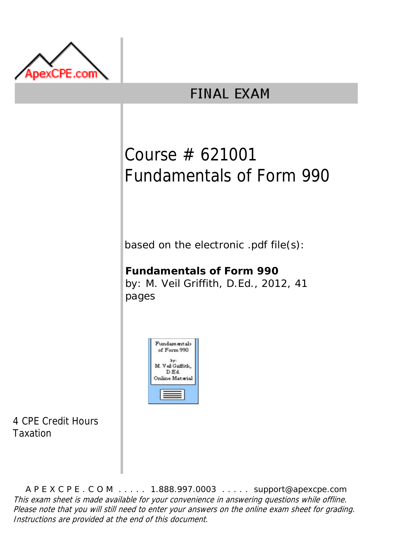

## **FINAL EXAM**

# Course # 621001 Fundamentals of Form 990

based on the electronic .pdf file(s):

### **Fundamentals of Form 990**

by: M. Veil Griffith, D.Ed., 2012, 41 pages



4 CPE Credit Hours Taxation

A P E X C P E . C O M . . . . . 1.888.997.0003 . . . . . support@apexcpe.com This exam sheet is made available for your convenience in answering questions while offline. Please note that you will still need to enter your answers on the online exam sheet for grading. Instructions are provided at the end of this document.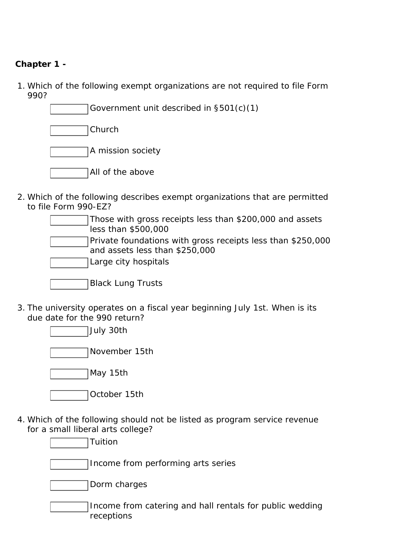#### **Chapter 1 -**

- 1. Which of the following exempt organizations are not required to file Form 990?
	- Government unit described in §501(c)(1)

Church

A mission society

- All of the above
- 2. Which of the following describes exempt organizations that are permitted to file Form 990-EZ?
	- Those with gross receipts less than \$200,000 and assets less than \$500,000
	- Private foundations with gross receipts less than \$250,000 and assets less than \$250,000
	- Large city hospitals

| Black Lung Trusts |
|-------------------|
|-------------------|

3. The university operates on a fiscal year beginning July 1st. When is its due date for the 990 return?

July 30th

November 15th

May 15th

4. Which of the following should not be listed as program service revenue for a small liberal arts college?

**Tuition** 

Income from performing arts series

Dorm charges

Income from catering and hall rentals for public wedding receptions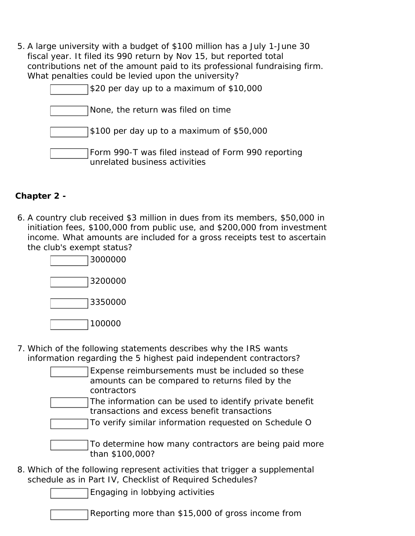5. A large university with a budget of \$100 million has a July 1-June 30 fiscal year. It filed its 990 return by Nov 15, but reported total contributions net of the amount paid to its professional fundraising firm. What penalties could be levied upon the university?

| \$20 per day up to a maximum of \$10,000                                            |
|-------------------------------------------------------------------------------------|
| None, the return was filed on time                                                  |
| \$100 per day up to a maximum of \$50,000                                           |
| Form 990-T was filed instead of Form 990 reporting<br>unrelated business activities |

#### **Chapter 2 -**

6. A country club received \$3 million in dues from its members, \$50,000 in initiation fees, \$100,000 from public use, and \$200,000 from investment income. What amounts are included for a gross receipts test to ascertain the club's exempt status?



- 7. Which of the following statements describes why the IRS wants information regarding the 5 highest paid independent contractors?
	- Expense reimbursements must be included so these amounts can be compared to returns filed by the contractors
	- The information can be used to identify private benefit transactions and excess benefit transactions
	- To verify similar information requested on Schedule O
	- To determine how many contractors are being paid more than \$100,000?
- 8. Which of the following represent activities that trigger a supplemental schedule as in Part IV, Checklist of Required Schedules?

Engaging in lobbying activities

Reporting more than \$15,000 of gross income from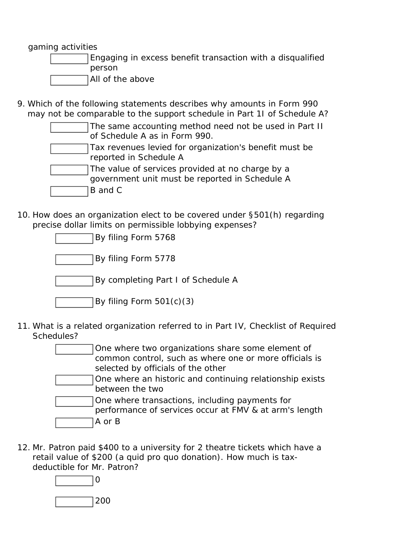gaming activities

- Engaging in excess benefit transaction with a disqualified person
- All of the above
- 9. Which of the following statements describes why amounts in Form 990 may not be comparable to the support schedule in Part 1I of Schedule A?

| The same accounting method need not be used in Part II |
|--------------------------------------------------------|
| of Schedule A as in Form 990.                          |

- Tax revenues levied for organization's benefit must be reported in Schedule A
- The value of services provided at no charge by a
- government unit must be reported in Schedule A
- B and C
- 10. How does an organization elect to be covered under §501(h) regarding precise dollar limits on permissible lobbying expenses?

| By filing Form 5768                |  |
|------------------------------------|--|
| By filing Form 5778                |  |
| By completing Part I of Schedule A |  |
| By filing Form 501(c)(3)           |  |

11. What is a related organization referred to in Part IV, Checklist of Required Schedules?

| One where two organizations share some element of<br>common control, such as where one or more officials is<br>selected by officials of the other |
|---------------------------------------------------------------------------------------------------------------------------------------------------|
| One where an historic and continuing relationship exists<br>between the two                                                                       |
| One where transactions, including payments for<br>performance of services occur at FMV & at arm's length<br>A or B                                |

12. Mr. Patron paid \$400 to a university for 2 theatre tickets which have a retail value of \$200 (a quid pro quo donation). How much is taxdeductible for Mr. Patron?

 $\Omega$ 

200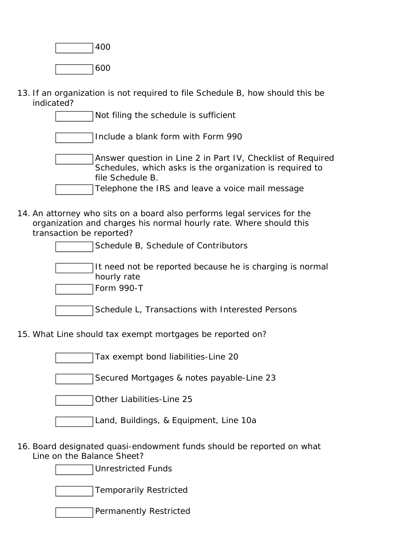400 600

13. If an organization is not required to file Schedule B, how should this be indicated?

> Not filing the schedule is sufficient Include a blank form with Form 990 Answer question in Line 2 in Part IV, Checklist of Required Schedules, which asks is the organization is required to file Schedule B.

Telephone the IRS and leave a voice mail message

14. An attorney who sits on a board also performs legal services for the organization and charges his normal hourly rate. Where should this transaction be reported?

| Schedule B, Schedule of Contributors                                                  |
|---------------------------------------------------------------------------------------|
| It need not be reported because he is charging is normal<br>hourly rate<br>Form 990-T |

- Schedule L, Transactions with Interested Persons
- 15. What Line should tax exempt mortgages be reported on?

Tax exempt bond liabilities-Line 20

Secured Mortgages & notes payable-Line 23

Other Liabilities-Line 25

Land, Buildings, & Equipment, Line 10a

16. Board designated quasi-endowment funds should be reported on what Line on the Balance Sheet?

Unrestricted Funds

Temporarily Restricted

Permanently Restricted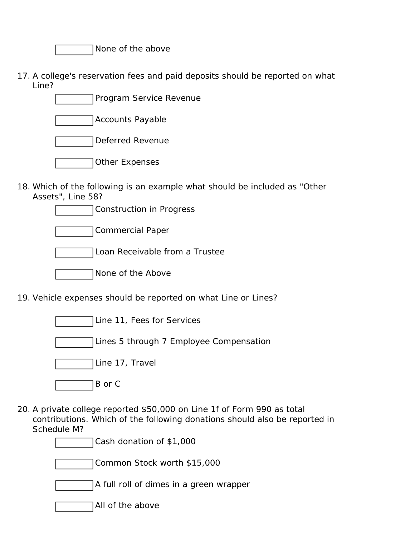None of the above

17. A college's reservation fees and paid deposits should be reported on what Line?

| Program Service Revenue |  |
|-------------------------|--|
| <b>Accounts Payable</b> |  |
| <b>Deferred Revenue</b> |  |
| <b>Other Expenses</b>   |  |

18. Which of the following is an example what should be included as "Other Assets", Line 58?



19. Vehicle expenses should be reported on what Line or Lines?

Line 11, Fees for Services Lines 5 through 7 Employee Compensation Line 17, Travel B or C

20. A private college reported \$50,000 on Line 1f of Form 990 as total contributions. Which of the following donations should also be reported in Schedule M?

Cash donation of \$1,000

Common Stock worth \$15,000

A full roll of dimes in a green wrapper

All of the above